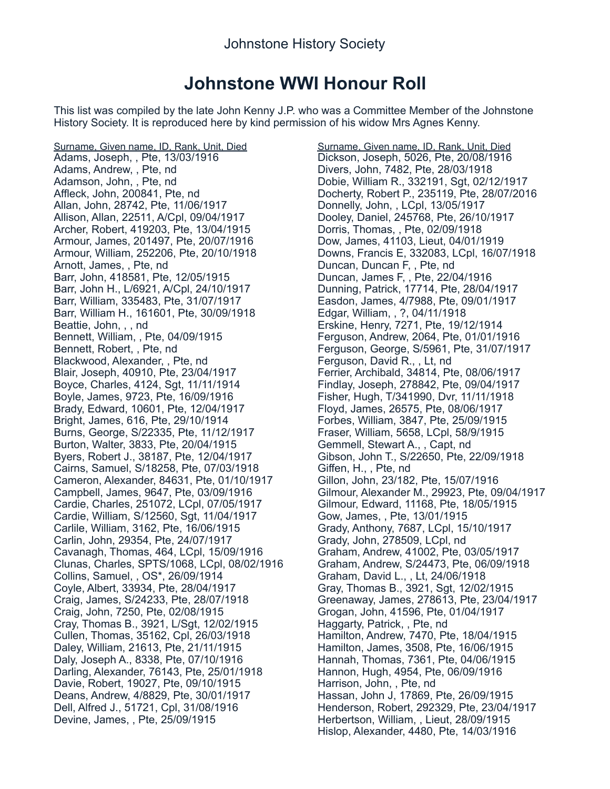## **Johnstone WWI Honour Roll**

This list was compiled by the late John Kenny J.P. who was a Committee Member of the Johnstone History Society. It is reproduced here by kind permission of his widow Mrs Agnes Kenny.

Surname, Given name, ID, Rank, Unit, Died Adams, Joseph, , Pte, 13/03/1916 Adams, Andrew, , Pte, nd Adamson, John, , Pte, nd Affleck, John, 200841, Pte, nd Allan, John, 28742, Pte, 11/06/1917 Allison, Allan, 22511, A/Cpl, 09/04/1917 Archer, Robert, 419203, Pte, 13/04/1915 Armour, James, 201497, Pte, 20/07/1916 Armour, William, 252206, Pte, 20/10/1918 Arnott, James, , Pte, nd Barr, John, 418581, Pte, 12/05/1915 Barr, John H., L/6921, A/Cpl, 24/10/1917 Barr, William, 335483, Pte, 31/07/1917 Barr, William H., 161601, Pte, 30/09/1918 Beattie, John, , , nd Bennett, William, , Pte, 04/09/1915 Bennett, Robert, , Pte, nd Blackwood, Alexander, , Pte, nd Blair, Joseph, 40910, Pte, 23/04/1917 Boyce, Charles, 4124, Sgt, 11/11/1914 Boyle, James, 9723, Pte, 16/09/1916 Brady, Edward, 10601, Pte, 12/04/1917 Bright, James, 616, Pte, 29/10/1914 Burns, George, S/22335, Pte, 11/12/1917 Burton, Walter, 3833, Pte, 20/04/1915 Byers, Robert J., 38187, Pte, 12/04/1917 Cairns, Samuel, S/18258, Pte, 07/03/1918 Cameron, Alexander, 84631, Pte, 01/10/1917 Campbell, James, 9647, Pte, 03/09/1916 Cardie, Charles, 251072, LCpl, 07/05/1917 Cardie, William, S/12560, Sgt, 11/04/1917 Carlile, William, 3162, Pte, 16/06/1915 Carlin, John, 29354, Pte, 24/07/1917 Cavanagh, Thomas, 464, LCpl, 15/09/1916 Clunas, Charles, SPTS/1068, LCpl, 08/02/1916 Collins, Samuel, , OS\*, 26/09/1914 Coyle, Albert, 33934, Pte, 28/04/1917 Craig, James, S/24233, Pte, 28/07/1918 Craig, John, 7250, Pte, 02/08/1915 Cray, Thomas B., 3921, L/Sgt, 12/02/1915 Cullen, Thomas, 35162, Cpl, 26/03/1918 Daley, William, 21613, Pte, 21/11/1915 Daly, Joseph A., 8338, Pte, 07/10/1916 Darling, Alexander, 76143, Pte, 25/01/1918 Davie, Robert, 19027, Pte, 09/10/1915 Deans, Andrew, 4/8829, Pte, 30/01/1917 Dell, Alfred J., 51721, Cpl, 31/08/1916 Devine, James, , Pte, 25/09/1915

Surname, Given name, ID, Rank, Unit, Died Dickson, Joseph, 5026, Pte, 20/08/1916 Divers, John, 7482, Pte, 28/03/1918 Dobie, William R., 332191, Sgt, 02/12/1917 Docherty, Robert P., 235119, Pte, 28/07/2016 Donnelly, John, , LCpl, 13/05/1917 Dooley, Daniel, 245768, Pte, 26/10/1917 Dorris, Thomas, , Pte, 02/09/1918 Dow, James, 41103, Lieut, 04/01/1919 Downs, Francis E, 332083, LCpl, 16/07/1918 Duncan, Duncan F, , Pte, nd Duncan, James F, , Pte, 22/04/1916 Dunning, Patrick, 17714, Pte, 28/04/1917 Easdon, James, 4/7988, Pte, 09/01/1917 Edgar, William, , ?, 04/11/1918 Erskine, Henry, 7271, Pte, 19/12/1914 Ferguson, Andrew, 2064, Pte, 01/01/1916 Ferguson, George, S/5961, Pte, 31/07/1917 Ferguson, David R., , Lt, nd Ferrier, Archibald, 34814, Pte, 08/06/1917 Findlay, Joseph, 278842, Pte, 09/04/1917 Fisher, Hugh, T/341990, Dvr, 11/11/1918 Floyd, James, 26575, Pte, 08/06/1917 Forbes, William, 3847, Pte, 25/09/1915 Fraser, William, 5658, LCpl, 58/9/1915 Gemmell, Stewart A., , Capt, nd Gibson, John T., S/22650, Pte, 22/09/1918 Giffen, H., , Pte, nd Gillon, John, 23/182, Pte, 15/07/1916 Gilmour, Alexander M., 29923, Pte, 09/04/1917 Gilmour, Edward, 11168, Pte, 18/05/1915 Gow, James, , Pte, 13/01/1915 Grady, Anthony, 7687, LCpl, 15/10/1917 Grady, John, 278509, LCpl, nd Graham, Andrew, 41002, Pte, 03/05/1917 Graham, Andrew, S/24473, Pte, 06/09/1918 Graham, David L., , Lt, 24/06/1918 Gray, Thomas B., 3921, Sgt, 12/02/1915 Greenaway, James, 278613, Pte, 23/04/1917 Grogan, John, 41596, Pte, 01/04/1917 Haggarty, Patrick, , Pte, nd Hamilton, Andrew, 7470, Pte, 18/04/1915 Hamilton, James, 3508, Pte, 16/06/1915 Hannah, Thomas, 7361, Pte, 04/06/1915 Hannon, Hugh, 4954, Pte, 06/09/1916 Harrison, John, , Pte, nd Hassan, John J, 17869, Pte, 26/09/1915 Henderson, Robert, 292329, Pte, 23/04/1917 Herbertson, William, , Lieut, 28/09/1915 Hislop, Alexander, 4480, Pte, 14/03/1916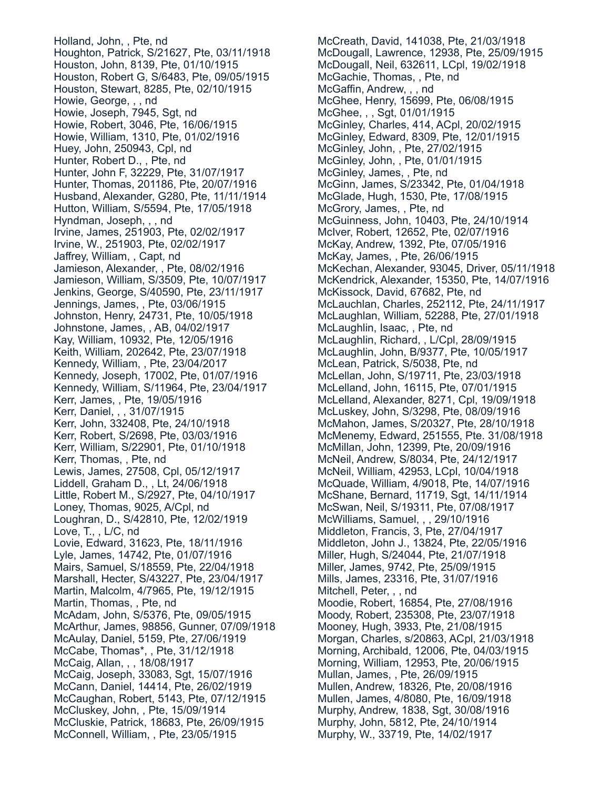Holland, John, , Pte, nd Houghton, Patrick, S/21627, Pte, 03/11/1918 Houston, John, 8139, Pte, 01/10/1915 Houston, Robert G, S/6483, Pte, 09/05/1915 Houston, Stewart, 8285, Pte, 02/10/1915 Howie, George, , , nd Howie, Joseph, 7945, Sgt, nd Howie, Robert, 3046, Pte, 16/06/1915 Howie, William, 1310, Pte, 01/02/1916 Huey, John, 250943, Cpl, nd Hunter, Robert D., , Pte, nd Hunter, John F, 32229, Pte, 31/07/1917 Hunter, Thomas, 201186, Pte, 20/07/1916 Husband, Alexander, G280, Pte, 11/11/1914 Hutton, William, S/5594, Pte, 17/05/1918 Hyndman, Joseph, , , nd Irvine, James, 251903, Pte, 02/02/1917 Irvine, W., 251903, Pte, 02/02/1917 Jaffrey, William, , Capt, nd Jamieson, Alexander, , Pte, 08/02/1916 Jamieson, William, S/3509, Pte, 10/07/1917 Jenkins, George, S/40590, Pte, 23/11/1917 Jennings, James, , Pte, 03/06/1915 Johnston, Henry, 24731, Pte, 10/05/1918 Johnstone, James, , AB, 04/02/1917 Kay, William, 10932, Pte, 12/05/1916 Keith, William, 202642, Pte, 23/07/1918 Kennedy, William, , Pte, 23/04/2017 Kennedy, Joseph, 17002, Pte, 01/07/1916 Kennedy, William, S/11964, Pte, 23/04/1917 Kerr, James, , Pte, 19/05/1916 Kerr, Daniel, , , 31/07/1915 Kerr, John, 332408, Pte, 24/10/1918 Kerr, Robert, S/2698, Pte, 03/03/1916 Kerr, William, S/22901, Pte, 01/10/1918 Kerr, Thomas, , Pte, nd Lewis, James, 27508, Cpl, 05/12/1917 Liddell, Graham D., , Lt, 24/06/1918 Little, Robert M., S/2927, Pte, 04/10/1917 Loney, Thomas, 9025, A/Cpl, nd Loughran, D., S/42810, Pte, 12/02/1919 Love, T., , L/C, nd Lovie, Edward, 31623, Pte, 18/11/1916 Lyle, James, 14742, Pte, 01/07/1916 Mairs, Samuel, S/18559, Pte, 22/04/1918 Marshall, Hecter, S/43227, Pte, 23/04/1917 Martin, Malcolm, 4/7965, Pte, 19/12/1915 Martin, Thomas, , Pte, nd McAdam, John, S/5376, Pte, 09/05/1915 McArthur, James, 98856, Gunner, 07/09/1918 McAulay, Daniel, 5159, Pte, 27/06/1919 McCabe, Thomas\*, , Pte, 31/12/1918 McCaig, Allan, , , 18/08/1917 McCaig, Joseph, 33083, Sgt, 15/07/1916 McCann, Daniel, 14414, Pte, 26/02/1919 McCaughan, Robert, 5143, Pte, 07/12/1915 McCluskey, John, , Pte, 15/09/1914 McCluskie, Patrick, 18683, Pte, 26/09/1915 McConnell, William, , Pte, 23/05/1915

McCreath, David, 141038, Pte, 21/03/1918 McDougall, Lawrence, 12938, Pte, 25/09/1915 McDougall, Neil, 632611, LCpl, 19/02/1918 McGachie, Thomas, , Pte, nd McGaffin, Andrew, , , nd McGhee, Henry, 15699, Pte, 06/08/1915 McGhee, , , Sgt, 01/01/1915 McGinley, Charles, 414, ACpl, 20/02/1915 McGinley, Edward, 8309, Pte, 12/01/1915 McGinley, John, , Pte, 27/02/1915 McGinley, John, , Pte, 01/01/1915 McGinley, James, , Pte, nd McGinn, James, S/23342, Pte, 01/04/1918 McGlade, Hugh, 1530, Pte, 17/08/1915 McGrory, James, , Pte, nd McGuinness, John, 10403, Pte, 24/10/1914 McIver, Robert, 12652, Pte, 02/07/1916 McKay, Andrew, 1392, Pte, 07/05/1916 McKay, James, , Pte, 26/06/1915 McKechan, Alexander, 93045, Driver, 05/11/1918 McKendrick, Alexander, 15350, Pte, 14/07/1916 McKissock, David, 67682, Pte, nd McLauchlan, Charles, 252112, Pte, 24/11/1917 McLaughlan, William, 52288, Pte, 27/01/1918 McLaughlin, Isaac, , Pte, nd McLaughlin, Richard, , L/Cpl, 28/09/1915 McLaughlin, John, B/9377, Pte, 10/05/1917 McLean, Patrick, S/5038, Pte, nd McLellan, John, S/19711, Pte, 23/03/1918 McLelland, John, 16115, Pte, 07/01/1915 McLelland, Alexander, 8271, Cpl, 19/09/1918 McLuskey, John, S/3298, Pte, 08/09/1916 McMahon, James, S/20327, Pte, 28/10/1918 McMenemy, Edward, 251555, Pte. 31/08/1918 McMillan, John, 12399, Pte, 20/09/1916 McNeil, Andrew, S/8034, Pte, 24/12/1917 McNeil, William, 42953, LCpl, 10/04/1918 McQuade, William, 4/9018, Pte, 14/07/1916 McShane, Bernard, 11719, Sgt, 14/11/1914 McSwan, Neil, S/19311, Pte, 07/08/1917 McWilliams, Samuel, , , 29/10/1916 Middleton, Francis, 3, Pte, 27/04/1917 Middleton, John J., 13824, Pte, 22/05/1916 Miller, Hugh, S/24044, Pte, 21/07/1918 Miller, James, 9742, Pte, 25/09/1915 Mills, James, 23316, Pte, 31/07/1916 Mitchell, Peter, , , nd Moodie, Robert, 16854, Pte, 27/08/1916 Moody, Robert, 235308, Pte, 23/07/1918 Mooney, Hugh, 3933, Pte, 21/08/1915 Morgan, Charles, s/20863, ACpl, 21/03/1918 Morning, Archibald, 12006, Pte, 04/03/1915 Morning, William, 12953, Pte, 20/06/1915 Mullan, James, , Pte, 26/09/1915 Mullen, Andrew, 18326, Pte, 20/08/1916 Mullen, James, 4/8080, Pte, 16/09/1918 Murphy, Andrew, 1838, Sgt, 30/08/1916 Murphy, John, 5812, Pte, 24/10/1914 Murphy, W., 33719, Pte, 14/02/1917